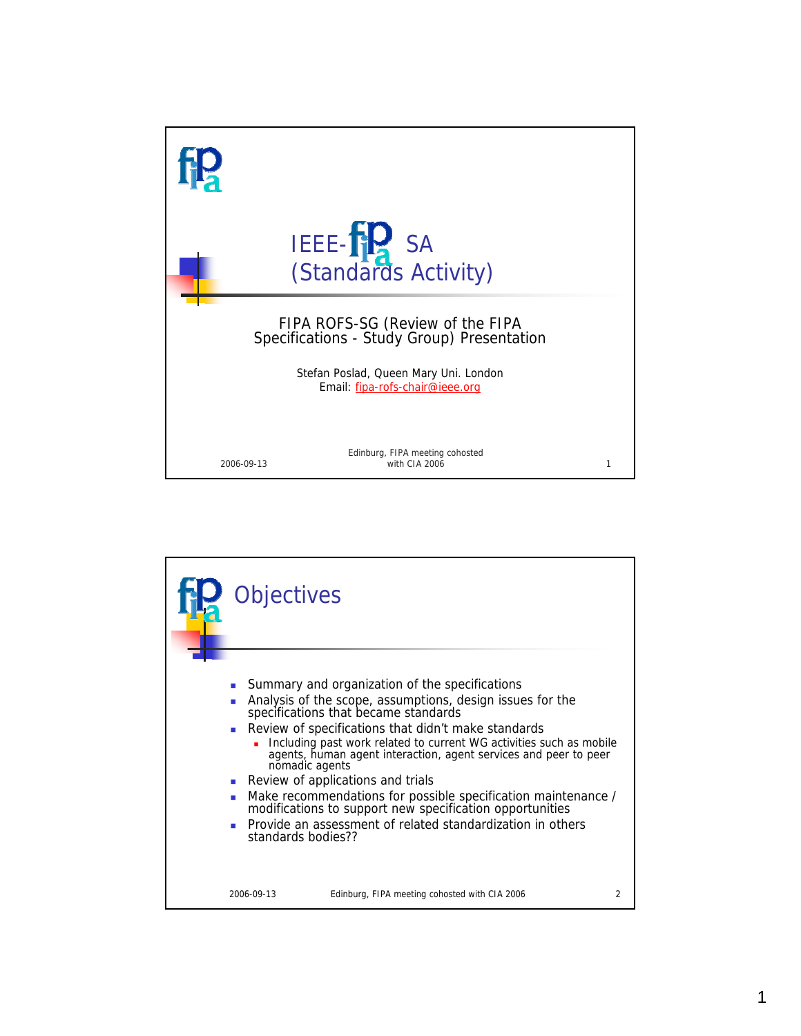

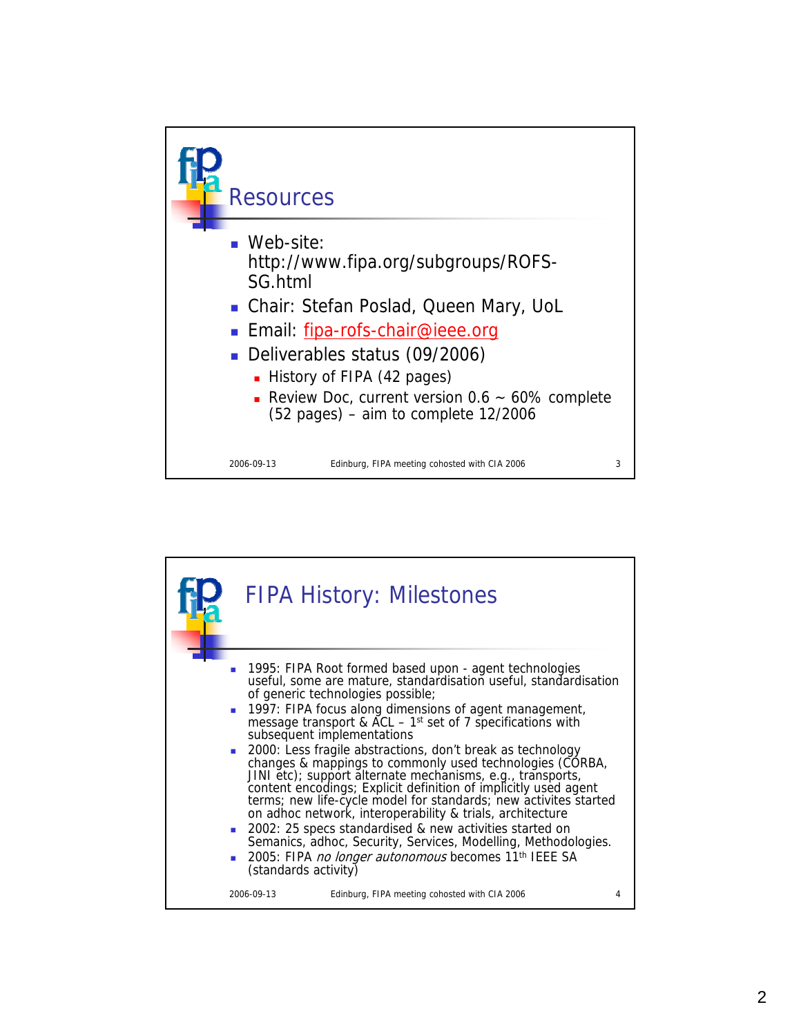

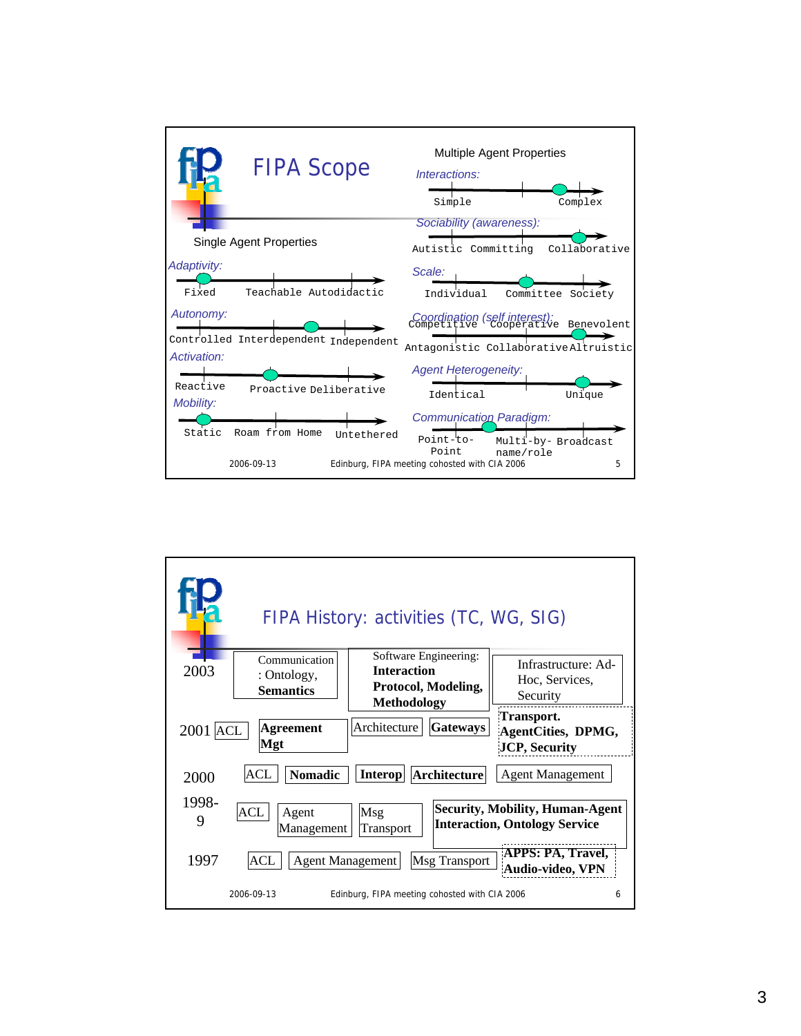

|                                                          | FIPA History: activities (TC, WG, SIG)                                                   |                                                                                |
|----------------------------------------------------------|------------------------------------------------------------------------------------------|--------------------------------------------------------------------------------|
| Communication<br>2003<br>: Ontology,<br><b>Semantics</b> | Software Engineering:<br><b>Interaction</b><br>Protocol, Modeling,<br><b>Methodology</b> | Infrastructure: Ad-<br>Hoc, Services,<br>Security                              |
| <b>Agreement</b><br>$2001$ ACL<br>Mgt                    | Architecture<br><b>Gateways</b>                                                          | Transport.<br>AgentCities, DPMG,<br><b>JCP, Security</b>                       |
| ACL<br><b>Nomadic</b><br>2000                            | <b>Interop</b><br>Architecture                                                           | <b>Agent Management</b>                                                        |
| 1998-<br>ACL<br>Agent<br>9<br>Management                 | Msg<br>Transport                                                                         | <b>Security, Mobility, Human-Agent</b><br><b>Interaction, Ontology Service</b> |
| 1997<br>ACL<br><b>Agent Management</b>                   | Msg Transport                                                                            | <b>APPS: PA, Travel,</b><br>Audio-video, VPN                                   |
| 2006-09-13                                               | Edinburg, FIPA meeting cohosted with CIA 2006                                            | 6                                                                              |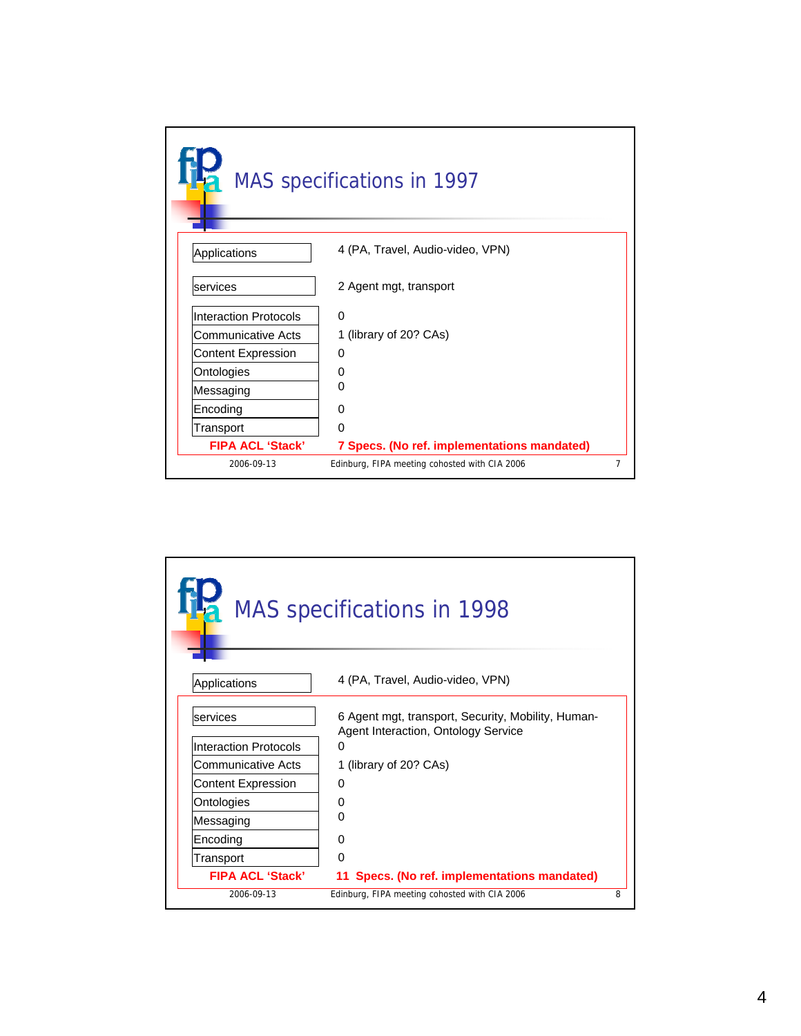|                              | MAS specifications in 1997                    |   |
|------------------------------|-----------------------------------------------|---|
| Applications                 | 4 (PA, Travel, Audio-video, VPN)              |   |
| services                     | 2 Agent mgt, transport                        |   |
| <b>Interaction Protocols</b> | $\Omega$                                      |   |
| Communicative Acts           | 1 (library of 20? CAs)                        |   |
| <b>Content Expression</b>    | $\Omega$                                      |   |
| Ontologies                   | 0                                             |   |
| Messaging                    | ∩                                             |   |
| Encoding                     | <sup>0</sup>                                  |   |
| Transport                    | $\Omega$                                      |   |
| <b>FIPA ACL 'Stack'</b>      | 7 Specs. (No ref. implementations mandated)   |   |
| 2006-09-13                   | Edinburg, FIPA meeting cohosted with CIA 2006 | 7 |

|                              | <b>Ha</b> MAS specifications in 1998                                                      |   |
|------------------------------|-------------------------------------------------------------------------------------------|---|
| Applications                 | 4 (PA, Travel, Audio-video, VPN)                                                          |   |
| services                     | 6 Agent mgt, transport, Security, Mobility, Human-<br>Agent Interaction, Ontology Service |   |
| <b>Interaction Protocols</b> | 0                                                                                         |   |
| Communicative Acts           | 1 (library of 20? CAs)                                                                    |   |
| <b>Content Expression</b>    | 0                                                                                         |   |
| Ontologies                   | O                                                                                         |   |
| Messaging                    | ი                                                                                         |   |
| Encoding                     | O                                                                                         |   |
| Transport                    | 0                                                                                         |   |
| <b>FIPA ACL 'Stack'</b>      | 11 Specs. (No ref. implementations mandated)                                              |   |
| 2006-09-13                   | Edinburg, FIPA meeting cohosted with CIA 2006                                             | 8 |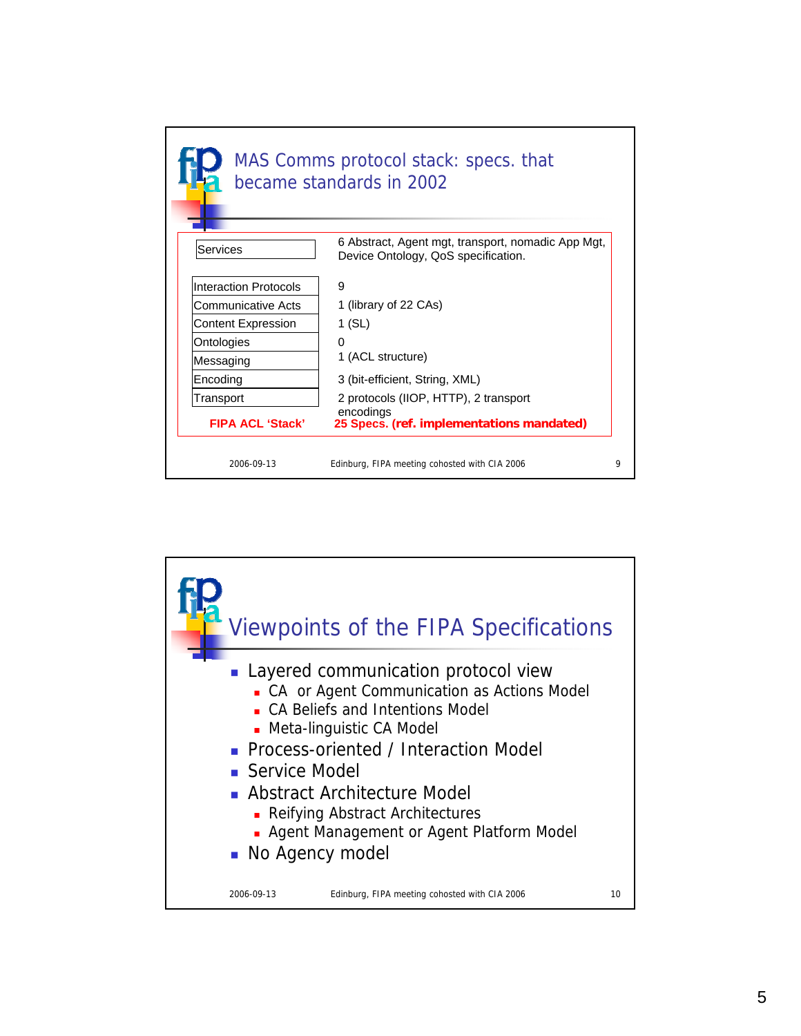|                              | MAS Comms protocol stack: specs. that<br>became standards in 2002                         |   |
|------------------------------|-------------------------------------------------------------------------------------------|---|
| Services                     | 6 Abstract, Agent mgt, transport, nomadic App Mgt,<br>Device Ontology, QoS specification. |   |
| <b>Interaction Protocols</b> | 9                                                                                         |   |
| Communicative Acts           | 1 (library of 22 CAs)                                                                     |   |
| <b>Content Expression</b>    | 1 (SL)                                                                                    |   |
| Ontologies                   | 0                                                                                         |   |
| Messaging                    | 1 (ACL structure)                                                                         |   |
| Encoding                     | 3 (bit-efficient, String, XML)                                                            |   |
| Transport                    | 2 protocols (IIOP, HTTP), 2 transport                                                     |   |
| <b>FIPA ACL 'Stack'</b>      | encodings<br>25 Specs. (ref. implementations mandated)                                    |   |
| 2006-09-13                   | Edinburg, FIPA meeting cohosted with CIA 2006                                             | Q |

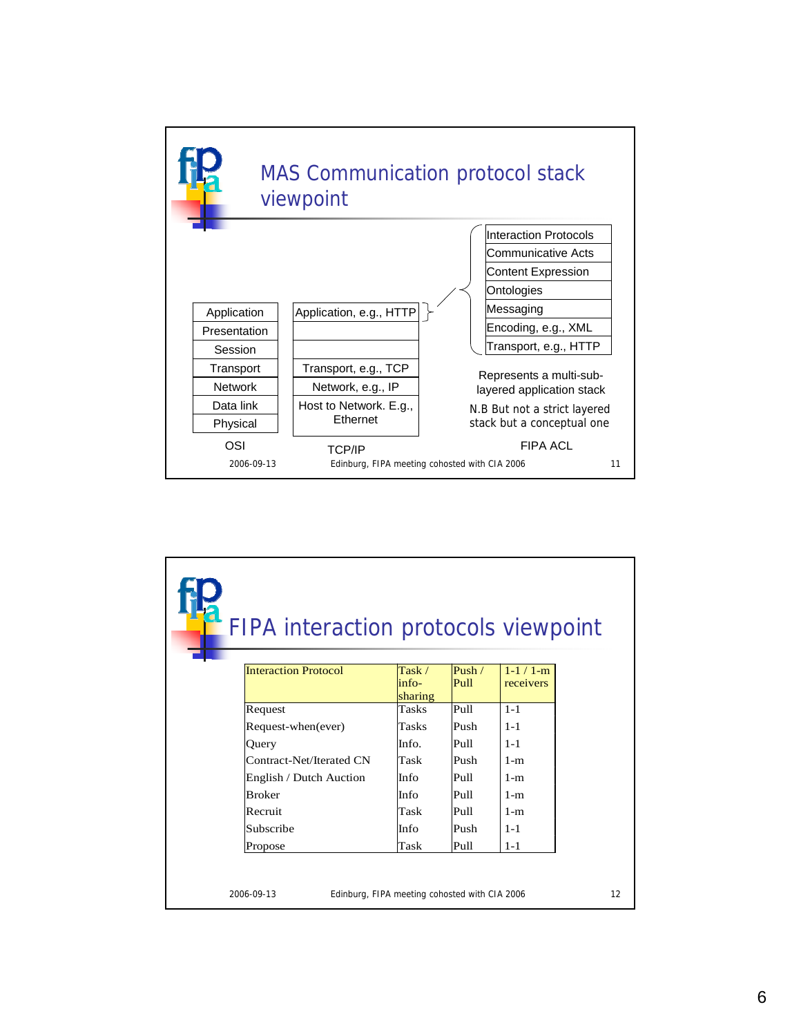

| FIPA interaction protocols viewpoint |                                               |                    |                              |
|--------------------------------------|-----------------------------------------------|--------------------|------------------------------|
| <b>Interaction Protocol</b>          | Task /<br>$in$ fo-<br>sharing                 | Push $/$<br>Pull   | $1 - 1 / 1 - m$<br>receivers |
| Request                              | <b>Tasks</b>                                  | Pull               | $1 - 1$                      |
| Request-when(ever)                   | Tasks                                         | Push               | $1 - 1$                      |
| Ouery                                | Info.                                         | Pull               | $1 - 1$                      |
| Contract-Net/Iterated CN             | Task                                          | Push               | $1-m$                        |
| English / Dutch Auction              | Info                                          | Pull               | $1-m$                        |
| <b>Broker</b>                        | Info                                          | Pull               | $1-m$                        |
| Recruit                              | Task                                          | P <sub>II</sub> 11 | $1-m$                        |
| Subscribe                            | Info                                          | Push               | $1 - 1$                      |
| Propose                              | Task                                          | Pull               | $1 - 1$                      |
| 2006-09-13                           | Edinburg, FIPA meeting cohosted with CIA 2006 |                    |                              |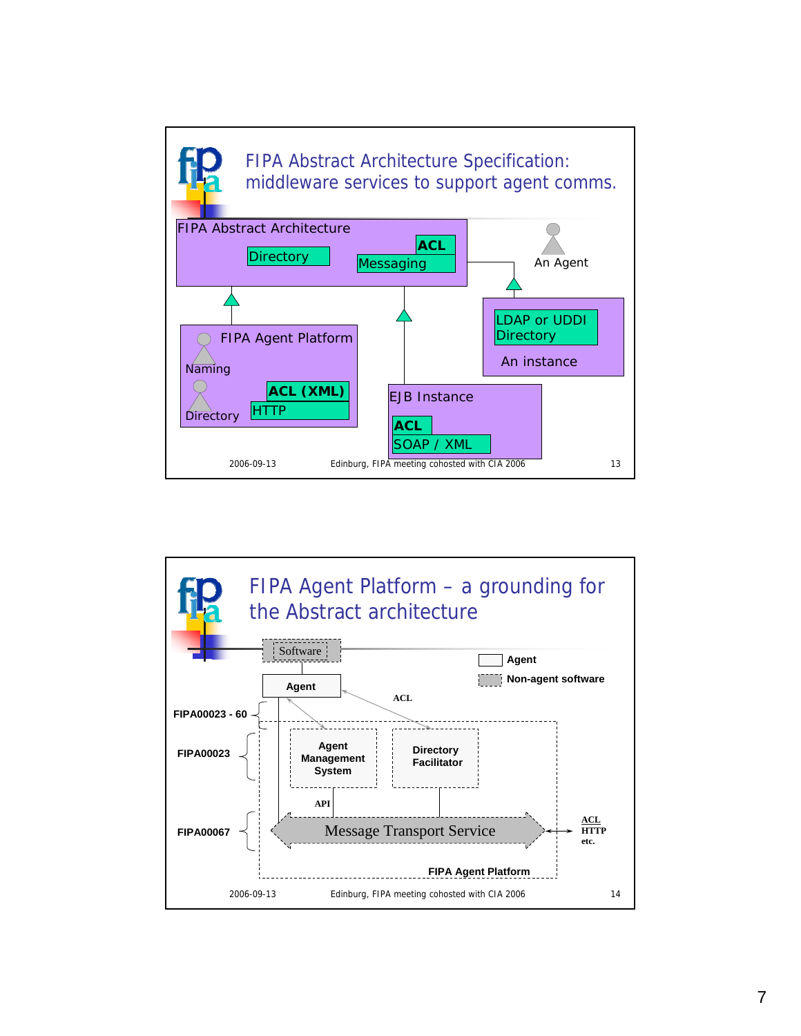

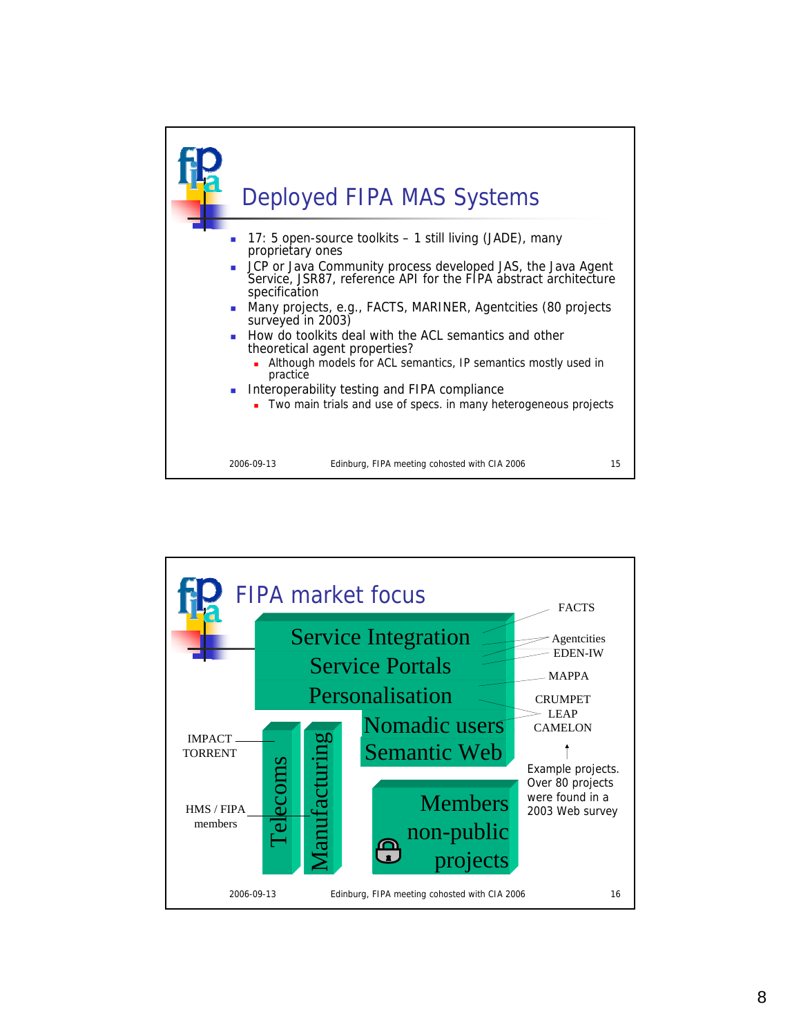

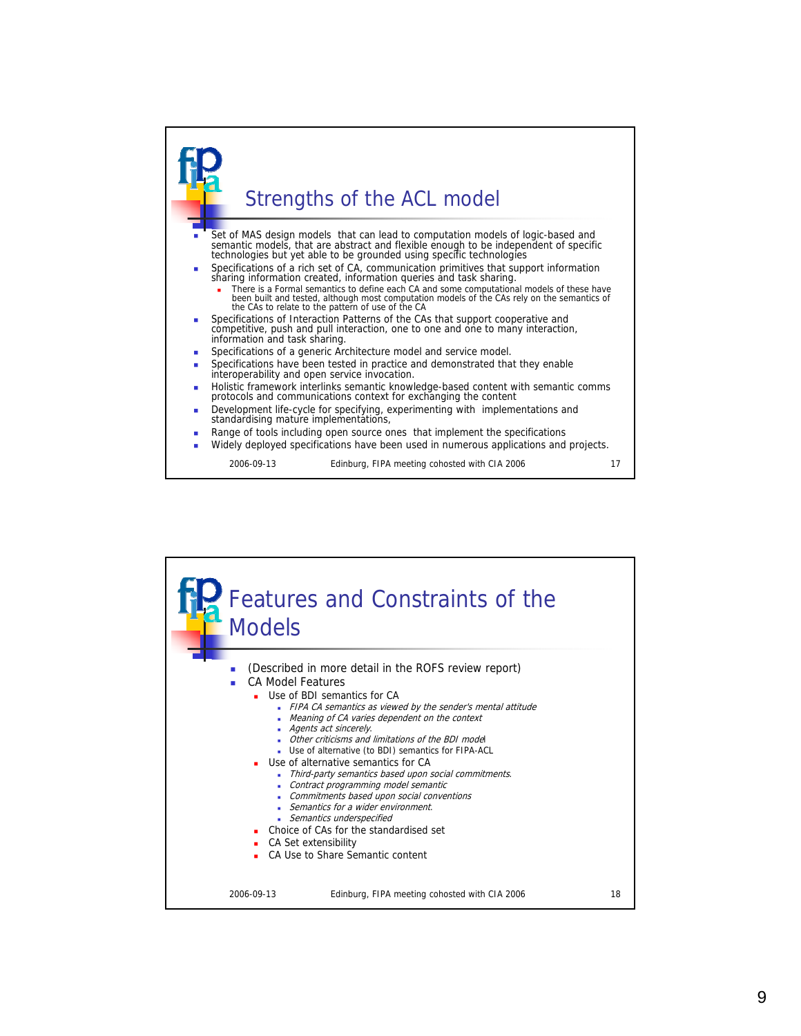

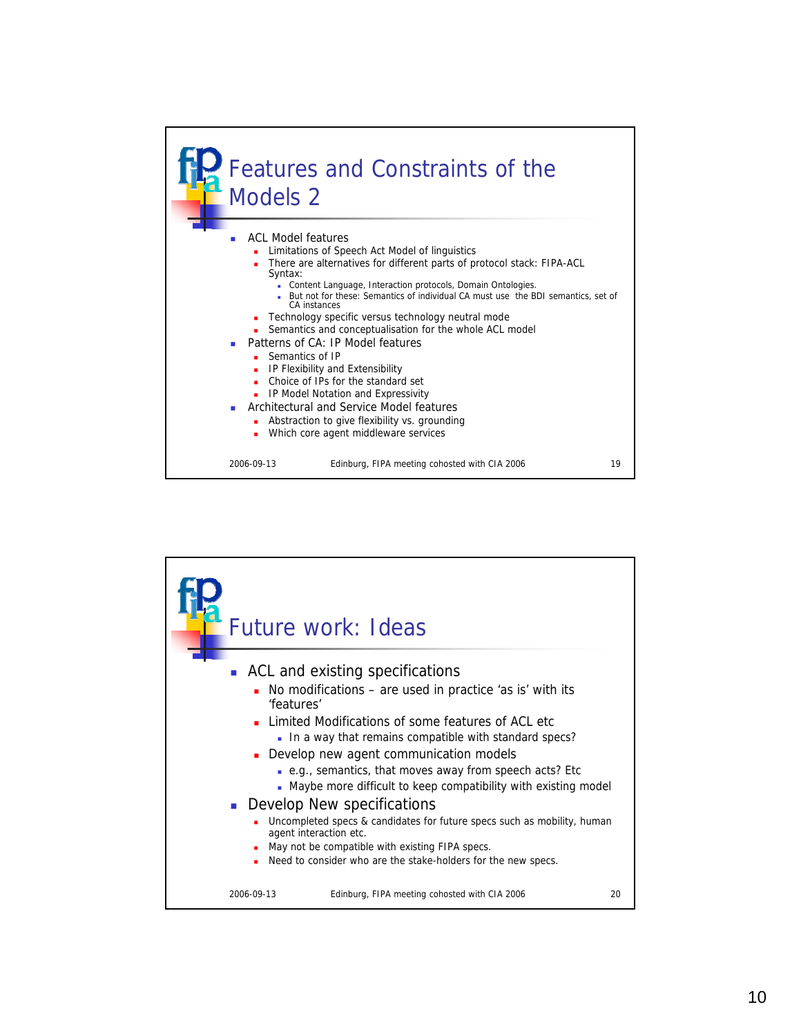

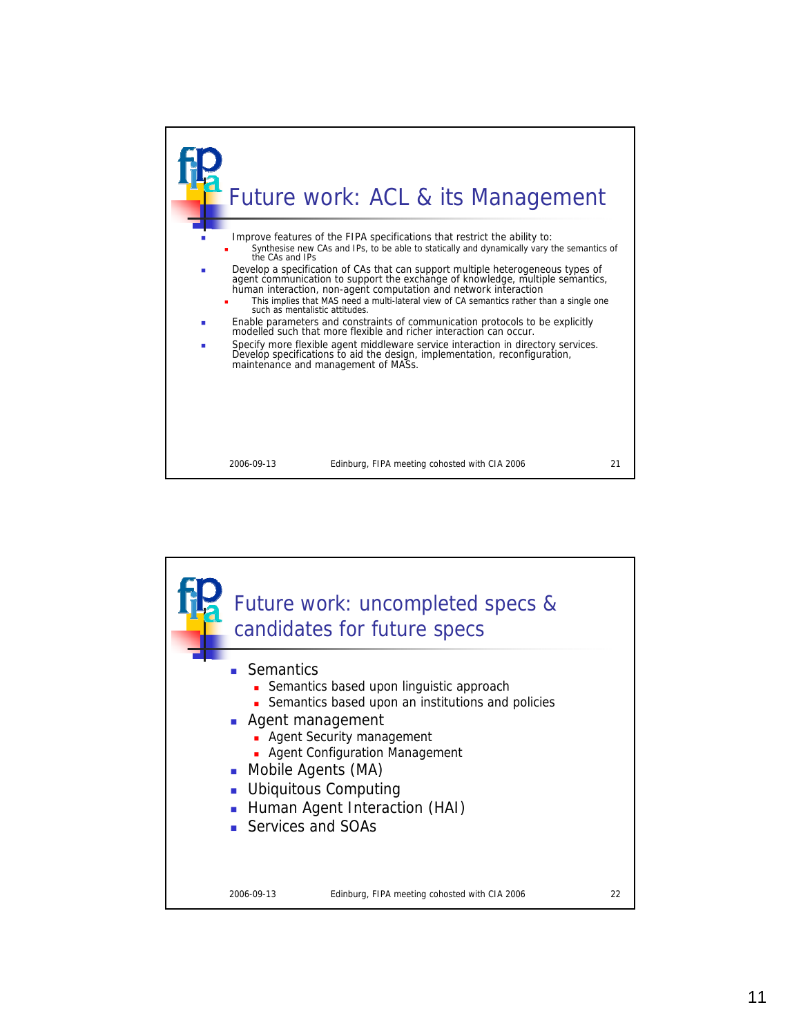

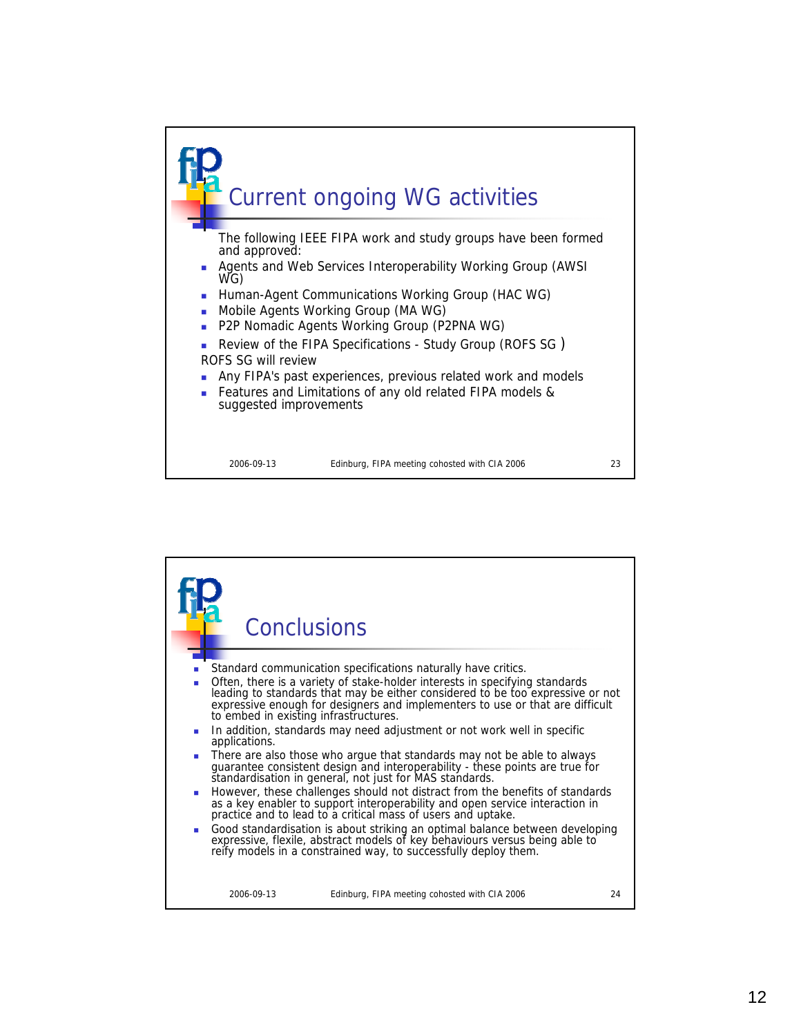